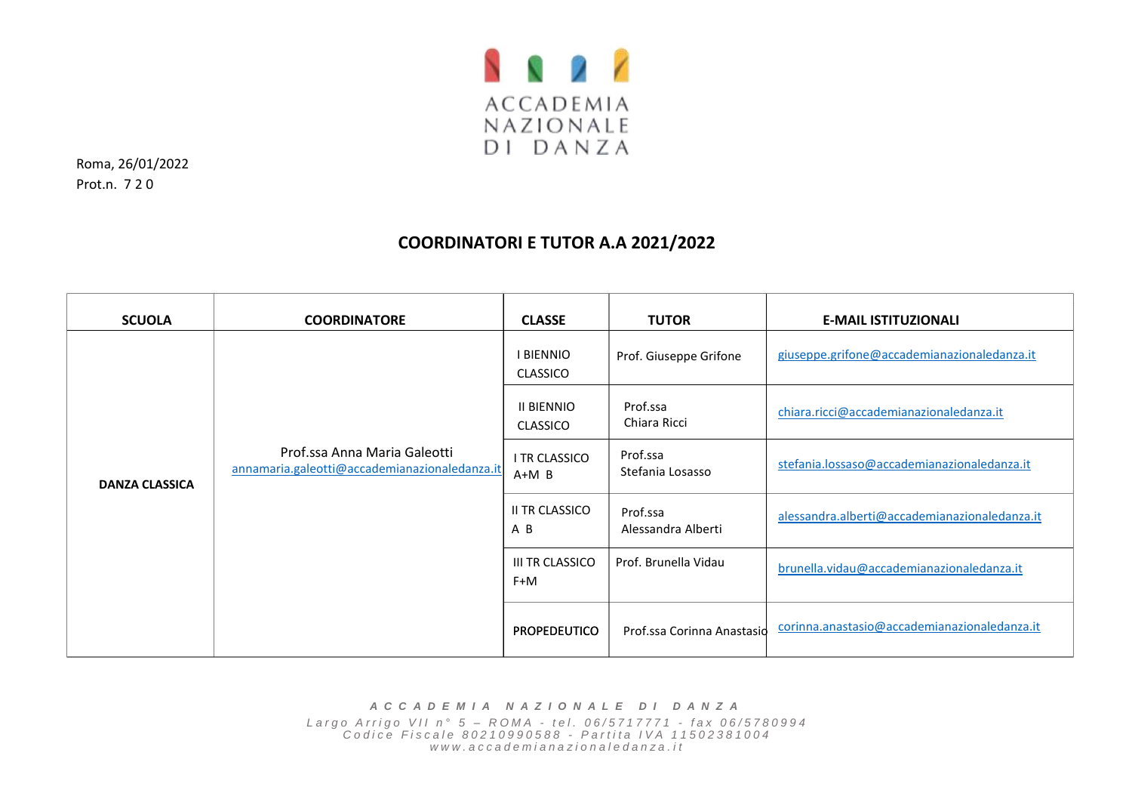

Roma, 26/01/2022 Prot.n. 720

## **COORDINATORI E TUTOR A.A 2021/2022**

| <b>SCUOLA</b>         | <b>COORDINATORE</b>                                                           | <b>CLASSE</b>                        | <b>TUTOR</b>                   | <b>E-MAIL ISTITUZIONALI</b>                   |
|-----------------------|-------------------------------------------------------------------------------|--------------------------------------|--------------------------------|-----------------------------------------------|
| <b>DANZA CLASSICA</b> | Prof.ssa Anna Maria Galeotti<br>annamaria.galeotti@accademianazionaledanza.it | I BIENNIO<br>CLASSICO                | Prof. Giuseppe Grifone         | giuseppe.grifone@accademianazionaledanza.it   |
|                       |                                                                               | <b>II BIENNIO</b><br><b>CLASSICO</b> | Prof.ssa<br>Chiara Ricci       | chiara.ricci@accademianazionaledanza.it       |
|                       |                                                                               | I TR CLASSICO<br>$A+M B$             | Prof.ssa<br>Stefania Losasso   | stefania.lossaso@accademianazionaledanza.it   |
|                       |                                                                               | <b>II TR CLASSICO</b><br>A B         | Prof.ssa<br>Alessandra Alberti | alessandra.alberti@accademianazionaledanza.it |
|                       |                                                                               | <b>III TR CLASSICO</b><br>F+M        | Prof. Brunella Vidau           | brunella.vidau@accademianazionaledanza.it     |
|                       |                                                                               | <b>PROPEDEUTICO</b>                  | Prof.ssa Corinna Anastasid     | corinna.anastasio@accademianazionaledanza.it  |

*A C C A D E M I A N A Z I O N A L E D I D A N Z A*

Largo Arrigo VII nº 5 — ROMA - tel. 06/5717771 - fax 06/5780994 Codice Fiscale 80210990588 - Partita IVA 11502381004 [w](http://www.accademianazionaledanza.it/)ww[.](http://www.accademianazionaledanza.it/)[a](http://www.accademianazionaledanza.it/)[c](http://www.accademianazionaledanza.it/)ca[d](http://www.accademianazionaledanza.it/)[e](http://www.accademianazionaledanza.it/)[m](http://www.accademianazionaledanza.it/)[i](http://www.accademianazionaledanza.it/)a[n](http://www.accademianazionaledanza.it/)a[z](http://www.accademianazionaledanza.it/)i[o](http://www.accademianazionaledanza.it/)na[l](http://www.accademianazionaledanza.it/)edanza.i[t](http://www.accademianazionaledanza.it/)